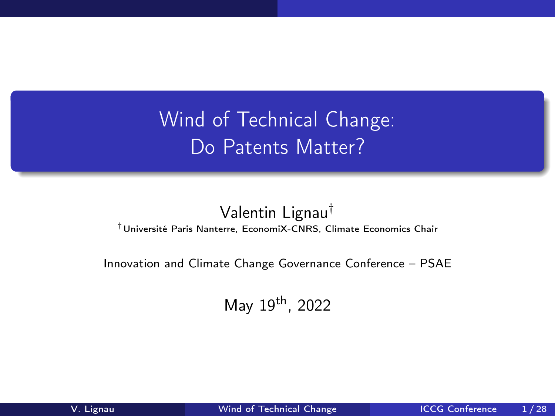<span id="page-0-0"></span>Wind of Technical Change: Do Patents Matter?

## Valentin Lignau†

†Université Paris Nanterre, EconomiX-CNRS, Climate Economics Chair

Innovation and Climate Change Governance Conference – PSAE

May 19th, 2022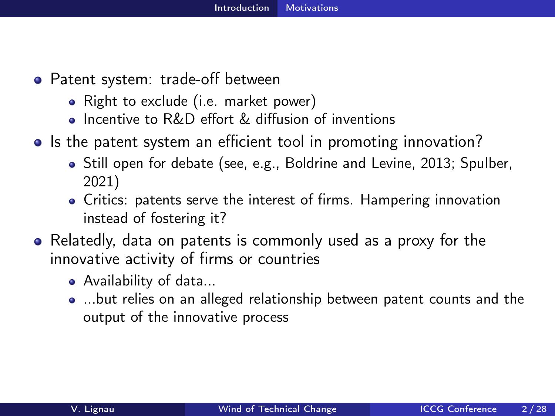- <span id="page-1-0"></span>• Patent system: trade-off between
	- Right to exclude (i.e. market power)
	- **Incentive to R&D effort & diffusion of inventions**
- Is the patent system an efficient tool in promoting innovation?
	- Still open for debate (see, e.g., Boldrine and Levine, 2013; Spulber, 2021)
	- Critics: patents serve the interest of firms. Hampering innovation instead of fostering it?
- Relatedly, data on patents is commonly used as a proxy for the innovative activity of firms or countries
	- Availability of data...
	- ...but relies on an alleged relationship between patent counts and the output of the innovative process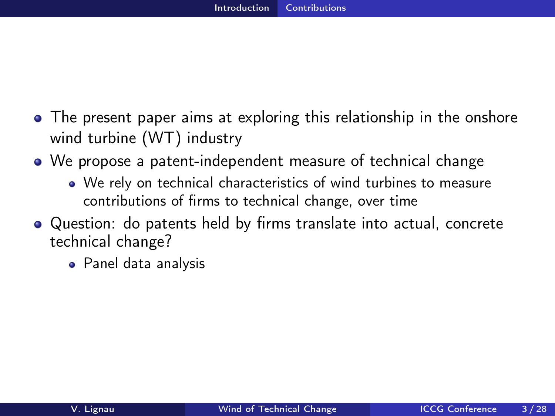- <span id="page-2-0"></span>The present paper aims at exploring this relationship in the onshore wind turbine (WT) industry
- We propose a patent-independent measure of technical change
	- We rely on technical characteristics of wind turbines to measure contributions of firms to technical change, over time
- Question: do patents held by firms translate into actual, concrete technical change?
	- Panel data analysis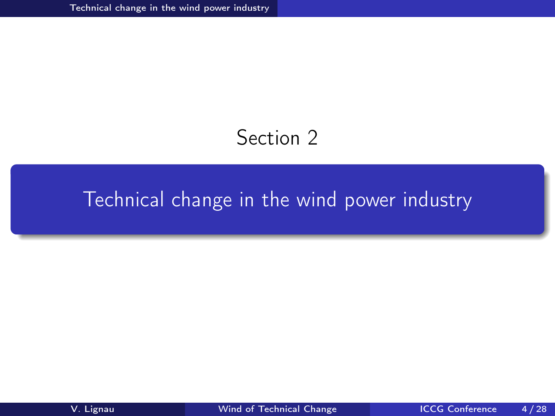## Section 2

# <span id="page-3-0"></span>[Technical change in the wind power industry](#page-3-0)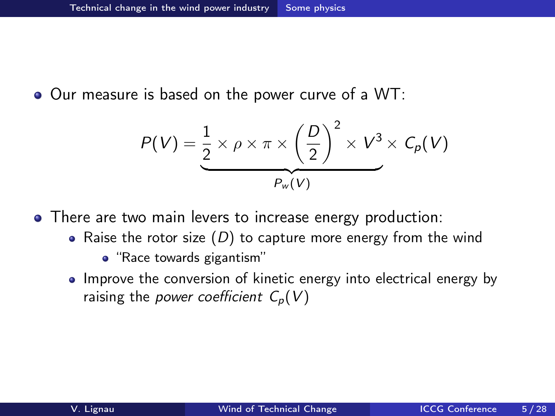<span id="page-4-0"></span>• Our measure is based on the power curve of a WT:

$$
P(V) = \underbrace{\frac{1}{2} \times \rho \times \pi \times \left(\frac{D}{2}\right)^2 \times V^3 \times C_p(V)}_{P_w(V)}
$$

• There are two main levers to increase energy production:

- Raise the rotor size  $(D)$  to capture more energy from the wind
	- "Race towards gigantism"
- Improve the conversion of kinetic energy into electrical energy by raising the *power coefficient*  $C_p(V)$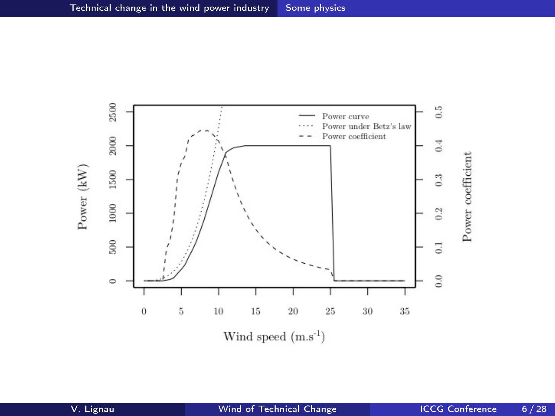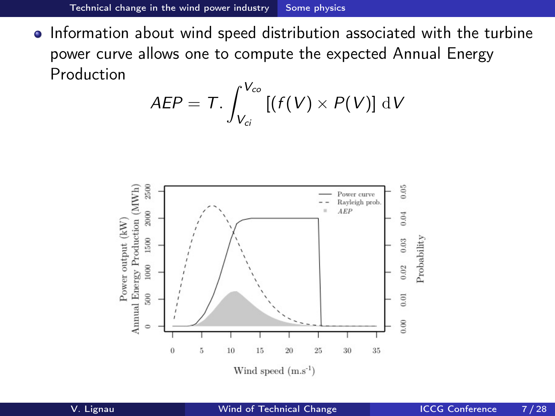• Information about wind speed distribution associated with the turbine power curve allows one to compute the expected Annual Energy Production

$$
AEP = T.\int_{V_{ci}}^{V_{co}} \left[ (f(V) \times P(V) \right] \, \mathrm{d}V
$$

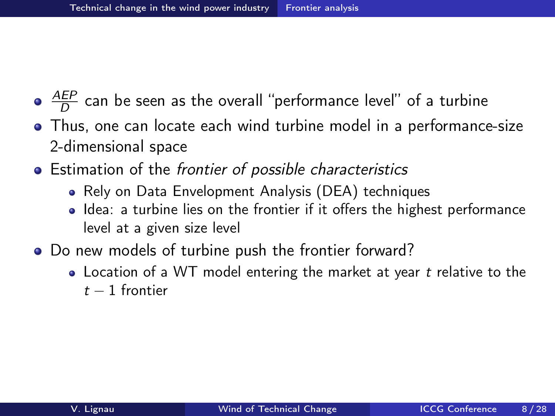- <span id="page-7-0"></span><u>AEP</u>  $\frac{dE}{D}$  can be seen as the overall ''performance level'' of a turbine
- Thus, one can locate each wind turbine model in a performance-size 2-dimensional space
- Estimation of the frontier of possible characteristics
	- Rely on Data Envelopment Analysis (DEA) techniques
	- Idea: a turbine lies on the frontier if it offers the highest performance level at a given size level
- Do new models of turbine push the frontier forward?
	- Location of a WT model entering the market at year t relative to the  $t-1$  frontier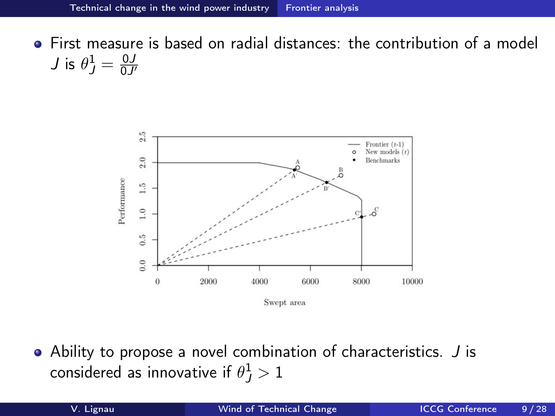First measure is based on radial distances: the contribution of a model  $J$  is  $\theta_J^1=\frac{0J}{0J}$  $0J'$ 



Ability to propose a novel combination of characteristics. J is considered as innovative if  $\theta_J^1>1$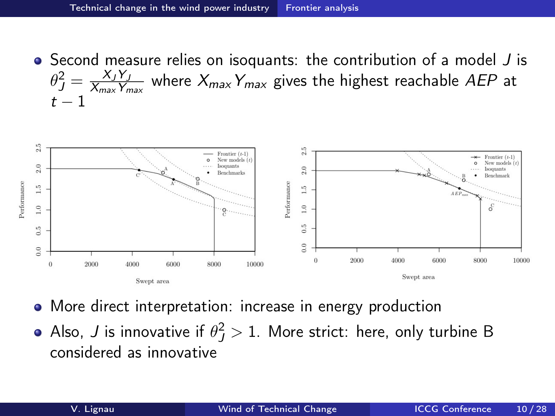• Second measure relies on isoquants: the contribution of a model J is  $\theta_J^2 = \frac{X_J Y_J}{X_{\sf max} Y_n}$  $\frac{X_J \, Y_J}{X_{max} \, Y_{max}}$  where  $X_{max} \, Y_{max}$  gives the highest reachable AEP at  $t - 1$ 



- More direct interpretation: increase in energy production
- Also,  $J$  is innovative if  $\theta_J^2>1.$  More strict: here, only turbine B considered as innovative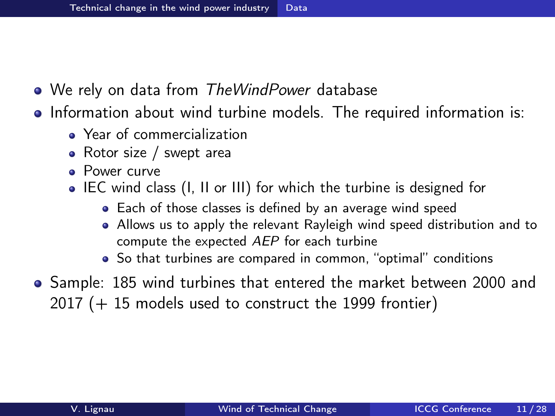- <span id="page-10-0"></span>• We rely on data from TheWindPower database
- Information about wind turbine models. The required information is:
	- Year of commercialization
	- Rotor size / swept area
	- Power curve
	- IEC wind class (I, II or III) for which the turbine is designed for
		- Each of those classes is defined by an average wind speed
		- Allows us to apply the relevant Rayleigh wind speed distribution and to compute the expected AEP for each turbine
		- So that turbines are compared in common, "optimal" conditions
- Sample: 185 wind turbines that entered the market between 2000 and 2017 (+ 15 models used to construct the 1999 frontier)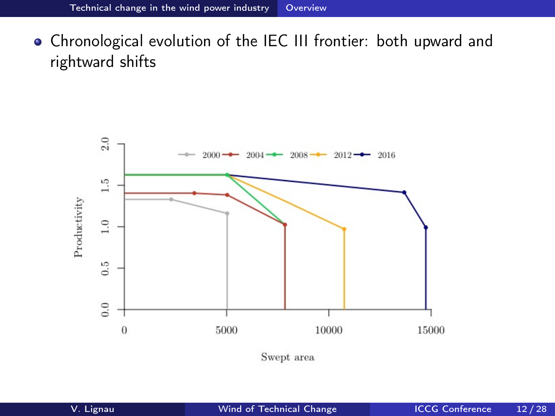<span id="page-11-0"></span>Chronological evolution of the IEC III frontier: both upward and rightward shifts



Swept area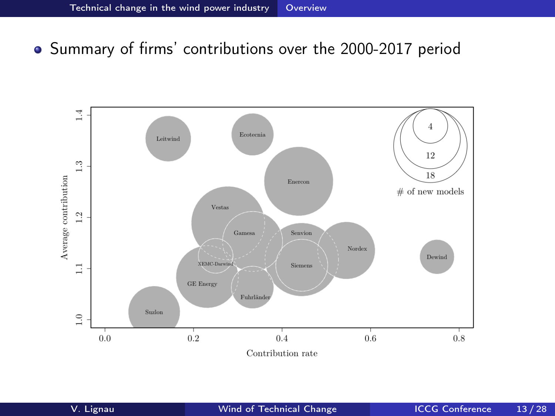#### Summary of firms' contributions over the 2000-2017 period

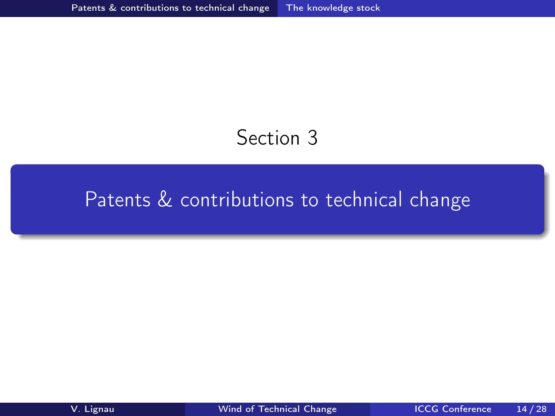## Section 3

## <span id="page-13-0"></span>[Patents & contributions to technical change](#page-13-0)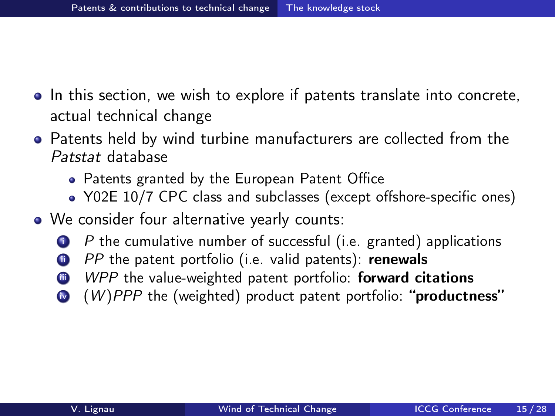- In this section, we wish to explore if patents translate into concrete, actual technical change
- Patents held by wind turbine manufacturers are collected from the Patstat database
	- Patents granted by the European Patent Office
	- Y02E 10/7 CPC class and subclasses (except offshore-specific ones)
- We consider four alternative yearly counts:
	- $P$  the cumulative number of successful (i.e. granted) applications
	- **i** PP the patent portfolio (i.e. valid patents): renewals
	- **iii** WPP the value-weighted patent portfolio: **forward citations**
	- $\bullet$  (W)PPP the (weighted) product patent portfolio: "productness"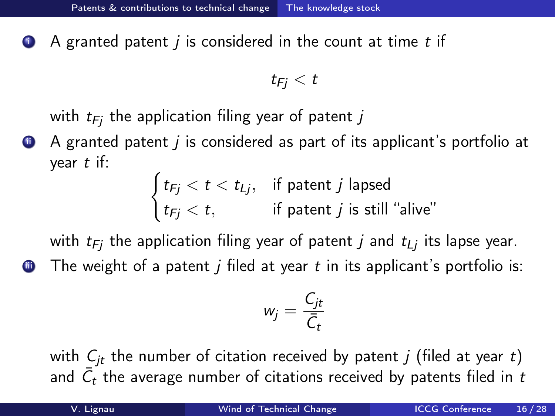$\bullet$  A granted patent *j* is considered in the count at time *t* if

 $t_{Fi} < t$ 

with  $t_{Fi}$  the application filing year of patent j

 $\bullet$  A granted patent *i* is considered as part of its applicant's portfolio at year  $t$  if:

> $\int t_{Fj} < t < t_{Lj}$ , if patent j lapsed  $t_{Fj} < t,$  if patent  $j$  is still "alive"

with  $t_{Fi}$  the application filing year of patent j and  $t_{Li}$  its lapse year.

 $\bullet$  The weight of a patent *j* filed at year t in its applicant's portfolio is:

$$
w_j=\frac{C_{jt}}{\bar{C}_t}
$$

with  $C_{jt}$  the number of citation received by patent j (filed at year t) and  $\bar{\mathcal{C}}_t$  the average number of citations received by patents filed in  $t$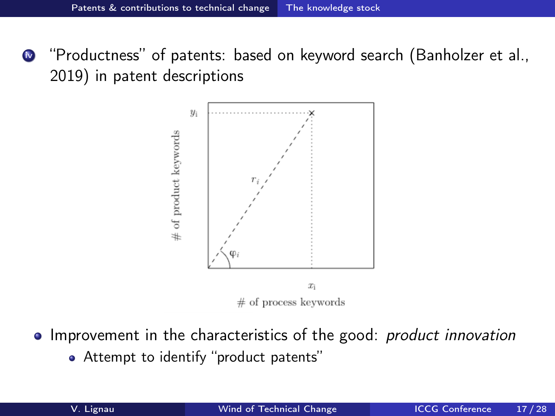**<sup>1</sup>** "Productness" of patents: based on keyword search (Banholzer et al., 2019) in patent descriptions



- Improvement in the characteristics of the good: *product innovation* 
	- Attempt to identify "product patents"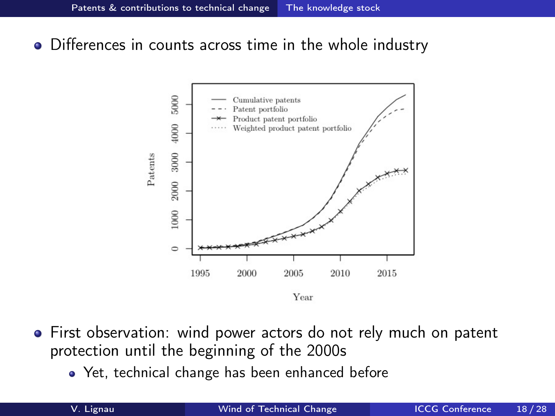Differences in counts across time in the whole industry



- First observation: wind power actors do not rely much on patent protection until the beginning of the 2000s
	- Yet, technical change has been enhanced before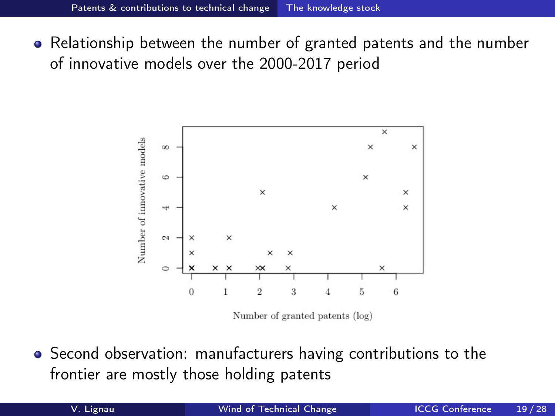• Relationship between the number of granted patents and the number of innovative models over the 2000-2017 period



**•** Second observation: manufacturers having contributions to the frontier are mostly those holding patents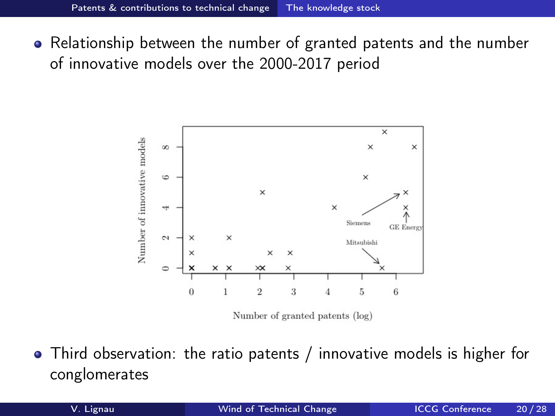• Relationship between the number of granted patents and the number of innovative models over the 2000-2017 period



Third observation: the ratio patents / innovative models is higher for conglomerates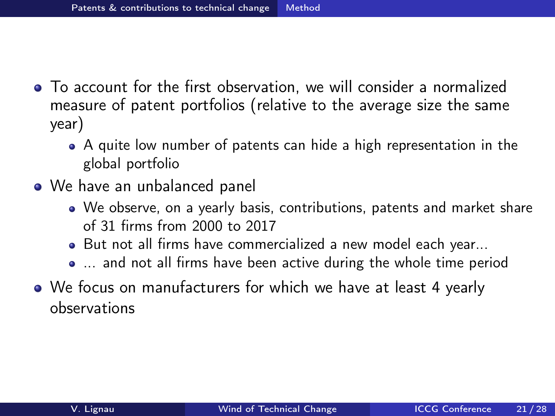- <span id="page-20-0"></span>To account for the first observation, we will consider a normalized measure of patent portfolios (relative to the average size the same year)
	- A quite low number of patents can hide a high representation in the global portfolio
- We have an unbalanced panel
	- We observe, on a yearly basis, contributions, patents and market share of 31 firms from 2000 to 2017
	- But not all firms have commercialized a new model each year...
	- ... and not all firms have been active during the whole time period
- We focus on manufacturers for which we have at least 4 yearly observations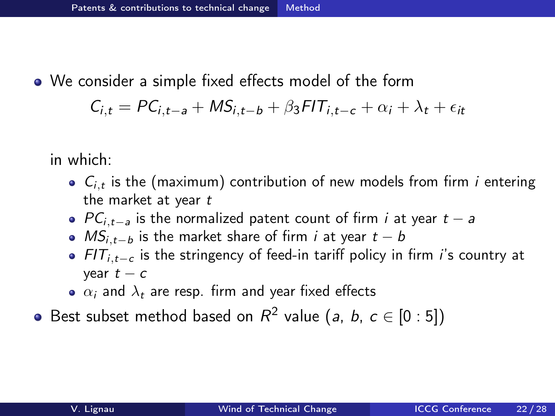We consider a simple fixed effects model of the form

$$
C_{i,t} = PC_{i,t-a} + MS_{i,t-b} + \beta_3 FIT_{i,t-c} + \alpha_i + \lambda_t + \epsilon_{it}
$$

in which:

- $C_{i,t}$  is the (maximum) contribution of new models from firm *i* entering the market at year t
- $PC_{i,t-a}$  is the normalized patent count of firm *i* at year  $t a$
- $MS$ <sub>i, t−b</sub> is the market share of firm *i* at year  $t b$
- $FIT_{i,t-c}$  is the stringency of feed-in tariff policy in firm *i*'s country at year  $t - c$
- $\alpha_i$  and  $\lambda_t$  are resp. firm and year fixed effects
- Best subset method based on  $R^2$  value (a, b,  $c \in [0:5]$ )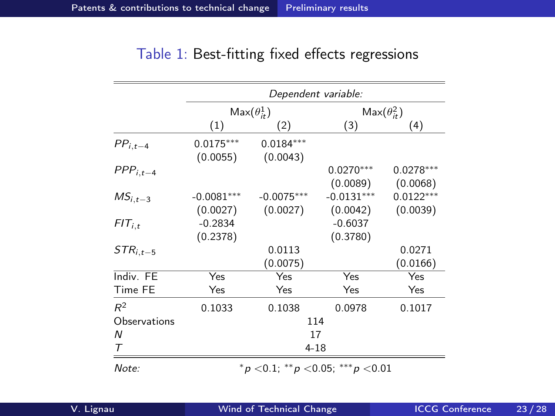<span id="page-22-0"></span>

|               | Dependent variable:  |                                                  |                      |             |  |
|---------------|----------------------|--------------------------------------------------|----------------------|-------------|--|
|               | $Max(\theta_{it}^1)$ |                                                  | $Max(\theta_{it}^2)$ |             |  |
|               | (1)                  | (2)                                              | (3)                  | (4)         |  |
| $PP_{i,t-4}$  | $0.0175***$          | $0.0184***$                                      |                      |             |  |
|               | (0.0055)             | (0.0043)                                         |                      |             |  |
| $PPP_{i,t-4}$ |                      |                                                  | $0.0270***$          | $0.0278***$ |  |
|               |                      |                                                  | (0.0089)             | (0.0068)    |  |
| $MS_{i.t-3}$  | $-0.0081***$         | $-0.0075***$                                     | $-0.0131***$         | $0.0122***$ |  |
|               | (0.0027)             | (0.0027)                                         | (0.0042)             | (0.0039)    |  |
| $FIT_{i,t}$   | $-0.2834$            |                                                  | $-0.6037$            |             |  |
|               | (0.2378)             |                                                  | (0.3780)             |             |  |
| $STR_{i.t-5}$ |                      | 0.0113                                           |                      | 0.0271      |  |
|               |                      | (0.0075)                                         |                      | (0.0166)    |  |
| Indiv. FE     | Yes                  | Yes                                              | Yes                  | Yes         |  |
| Time FE       | Yes                  | Yes                                              | Yes                  | Yes         |  |
| $R^2$         | 0.1033               | 0.1038                                           | 0.0978               | 0.1017      |  |
| Observations  | 114                  |                                                  |                      |             |  |
| N             | 17                   |                                                  |                      |             |  |
| Τ             | 4-18                 |                                                  |                      |             |  |
| Note:         |                      | $p^*$ $>$ 0.1: ** $p$ $<$ 0.05: *** $p$ $<$ 0.01 |                      |             |  |

#### Table 1: Best-fitting fixed effects regressions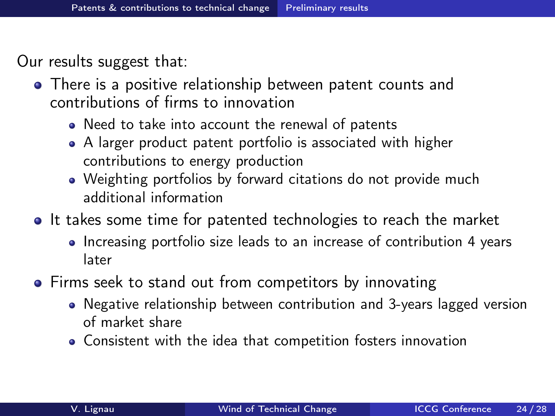Our results suggest that:

- There is a positive relationship between patent counts and contributions of firms to innovation
	- Need to take into account the renewal of patents
	- A larger product patent portfolio is associated with higher contributions to energy production
	- Weighting portfolios by forward citations do not provide much additional information
- It takes some time for patented technologies to reach the market
	- Increasing portfolio size leads to an increase of contribution 4 years later
- Firms seek to stand out from competitors by innovating
	- Negative relationship between contribution and 3-years lagged version of market share
	- Consistent with the idea that competition fosters innovation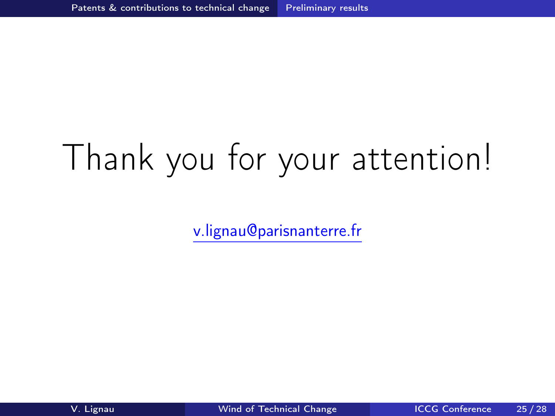# Thank you for your attention!

[v.lignau@parisnanterre.fr](mailto:v.lignau@parisnanterre.fr)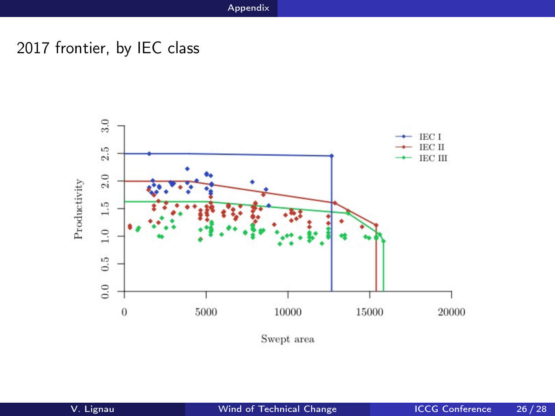### <span id="page-25-0"></span>2017 frontier, by IEC class

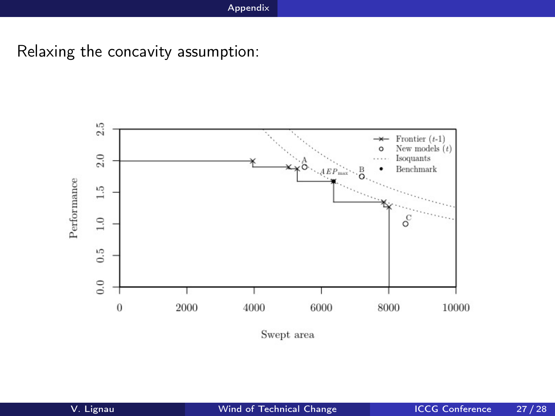Relaxing the concavity assumption: